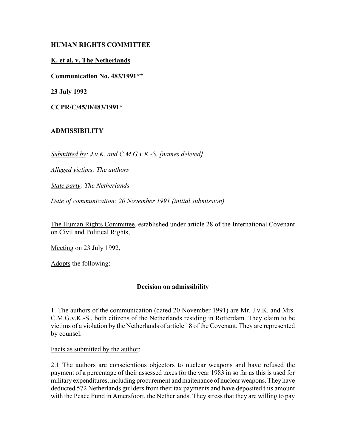### **HUMAN RIGHTS COMMITTEE**

## **K. et al. v. The Netherlands**

**Communication No. 483/1991\*\***

**23 July 1992**

**CCPR/C/45/D/483/1991\***

# **ADMISSIBILITY**

*Submitted by: J.v.K. and C.M.G.v.K.-S. [names deleted]*

*Alleged victims: The authors*

*State party: The Netherlands*

*Date of communication: 20 November 1991 (initial submission)*

The Human Rights Committee, established under article 28 of the International Covenant on Civil and Political Rights,

Meeting on 23 July 1992,

Adopts the following:

# **Decision on admissibility**

1. The authors of the communication (dated 20 November 1991) are Mr. J.v.K. and Mrs. C.M.G.v.K.-S., both citizens of the Netherlands residing in Rotterdam. They claim to be victims of a violation by the Netherlands of article 18 of the Covenant. They are represented by counsel.

Facts as submitted by the author:

2.1 The authors are conscientious objectors to nuclear weapons and have refused the payment of a percentage of their assessed taxes for the year 1983 in so far as this is used for military expenditures, including procurement and maitenance of nuclear weapons. They have deducted 572 Netherlands guilders from their tax payments and have deposited this amount with the Peace Fund in Amersfoort, the Netherlands. They stress that they are willing to pay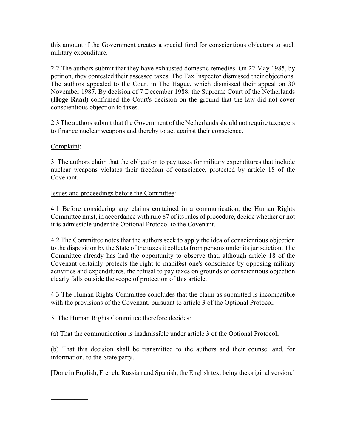this amount if the Government creates a special fund for conscientious objectors to such military expenditure.

2.2 The authors submit that they have exhausted domestic remedies. On 22 May 1985, by petition, they contested their assessed taxes. The Tax Inspector dismissed their objections. The authors appealed to the Court in The Hague, which dismissed their appeal on 30 November 1987. By decision of 7 December 1988, the Supreme Court of the Netherlands (**Hoge Raad**) confirmed the Court's decision on the ground that the law did not cover conscientious objection to taxes.

2.3 The authors submit that the Government of the Netherlands should not require taxpayers to finance nuclear weapons and thereby to act against their conscience.

### Complaint:

 $\mathcal{L}_\text{max}$ 

3. The authors claim that the obligation to pay taxes for military expenditures that include nuclear weapons violates their freedom of conscience, protected by article 18 of the Covenant.

#### Issues and proceedings before the Committee:

4.1 Before considering any claims contained in a communication, the Human Rights Committee must, in accordance with rule 87 of its rules of procedure, decide whether or not it is admissible under the Optional Protocol to the Covenant.

4.2 The Committee notes that the authors seek to apply the idea of conscientious objection to the disposition by the State of the taxes it collects from persons under its jurisdiction. The Committee already has had the opportunity to observe that, although article 18 of the Covenant certainly protects the right to manifest one's conscience by opposing military activities and expenditures, the refusal to pay taxes on grounds of conscientious objection clearly falls outside the scope of protection of this article.<sup>1</sup>

4.3 The Human Rights Committee concludes that the claim as submitted is incompatible with the provisions of the Covenant, pursuant to article 3 of the Optional Protocol.

5. The Human Rights Committee therefore decides:

(a) That the communication is inadmissible under article 3 of the Optional Protocol;

(b) That this decision shall be transmitted to the authors and their counsel and, for information, to the State party.

[Done in English, French, Russian and Spanish, the English text being the original version.]